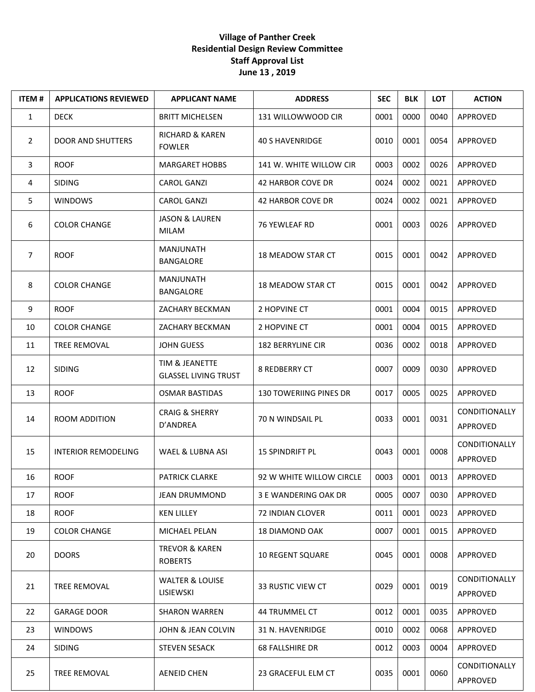## **Village of Panther Creek Residential Design Review Committee Staff Approval List June 13 , 2019**

| <b>ITEM#</b> | <b>APPLICATIONS REVIEWED</b> | <b>APPLICANT NAME</b>                         | <b>ADDRESS</b>                | <b>SEC</b> | <b>BLK</b> | <b>LOT</b> | <b>ACTION</b>                    |
|--------------|------------------------------|-----------------------------------------------|-------------------------------|------------|------------|------------|----------------------------------|
| $\mathbf{1}$ | <b>DECK</b>                  | <b>BRITT MICHELSEN</b>                        | 131 WILLOWWOOD CIR            | 0001       | 0000       | 0040       | APPROVED                         |
| 2            | <b>DOOR AND SHUTTERS</b>     | <b>RICHARD &amp; KAREN</b><br><b>FOWLER</b>   | <b>40 S HAVENRIDGE</b>        | 0010       | 0001       | 0054       | APPROVED                         |
| 3            | <b>ROOF</b>                  | <b>MARGARET HOBBS</b>                         | 141 W. WHITE WILLOW CIR       | 0003       | 0002       | 0026       | APPROVED                         |
| 4            | <b>SIDING</b>                | <b>CAROL GANZI</b>                            | <b>42 HARBOR COVE DR</b>      | 0024       | 0002       | 0021       | APPROVED                         |
| 5            | <b>WINDOWS</b>               | <b>CAROL GANZI</b>                            | 42 HARBOR COVE DR             | 0024       | 0002       | 0021       | APPROVED                         |
| 6            | <b>COLOR CHANGE</b>          | <b>JASON &amp; LAUREN</b><br>MILAM            | 76 YEWLEAF RD                 | 0001       | 0003       | 0026       | APPROVED                         |
| 7            | <b>ROOF</b>                  | MANJUNATH<br><b>BANGALORE</b>                 | 18 MEADOW STAR CT             | 0015       | 0001       | 0042       | APPROVED                         |
| 8            | <b>COLOR CHANGE</b>          | MANJUNATH<br>BANGALORE                        | 18 MEADOW STAR CT             | 0015       | 0001       | 0042       | APPROVED                         |
| 9            | <b>ROOF</b>                  | ZACHARY BECKMAN                               | 2 HOPVINE CT                  | 0001       | 0004       | 0015       | APPROVED                         |
| 10           | <b>COLOR CHANGE</b>          | ZACHARY BECKMAN                               | 2 HOPVINE CT                  | 0001       | 0004       | 0015       | APPROVED                         |
| 11           | TREE REMOVAL                 | <b>JOHN GUESS</b>                             | <b>182 BERRYLINE CIR</b>      | 0036       | 0002       | 0018       | APPROVED                         |
| 12           | <b>SIDING</b>                | TIM & JEANETTE<br><b>GLASSEL LIVING TRUST</b> | <b>8 REDBERRY CT</b>          | 0007       | 0009       | 0030       | APPROVED                         |
| 13           | <b>ROOF</b>                  | <b>OSMAR BASTIDAS</b>                         | <b>130 TOWERIING PINES DR</b> | 0017       | 0005       | 0025       | APPROVED                         |
| 14           | ROOM ADDITION                | <b>CRAIG &amp; SHERRY</b><br>D'ANDREA         | 70 N WINDSAIL PL              | 0033       | 0001       | 0031       | CONDITIONALLY<br>APPROVED        |
| 15           | <b>INTERIOR REMODELING</b>   | WAEL & LUBNA ASI                              | <b>15 SPINDRIFT PL</b>        | 0043       | 0001       | 0008       | CONDITIONALLY<br>APPROVED        |
| 16           | <b>ROOF</b>                  | <b>PATRICK CLARKE</b>                         | 92 W WHITE WILLOW CIRCLE      | 0003       | 0001       | 0013       | APPROVED                         |
| 17           | <b>ROOF</b>                  | JEAN DRUMMOND                                 | 3 E WANDERING OAK DR          | 0005       | 0007       | 0030       | APPROVED                         |
| 18           | <b>ROOF</b>                  | <b>KEN LILLEY</b>                             | 72 INDIAN CLOVER              | 0011       | 0001       | 0023       | APPROVED                         |
| 19           | <b>COLOR CHANGE</b>          | MICHAEL PELAN                                 | <b>18 DIAMOND OAK</b>         | 0007       | 0001       | 0015       | APPROVED                         |
| 20           | <b>DOORS</b>                 | <b>TREVOR &amp; KAREN</b><br><b>ROBERTS</b>   | <b>10 REGENT SQUARE</b>       | 0045       | 0001       | 0008       | APPROVED                         |
| 21           | TREE REMOVAL                 | <b>WALTER &amp; LOUISE</b><br>LISIEWSKI       | 33 RUSTIC VIEW CT             | 0029       | 0001       | 0019       | <b>CONDITIONALLY</b><br>APPROVED |
| 22           | <b>GARAGE DOOR</b>           | <b>SHARON WARREN</b>                          | 44 TRUMMEL CT                 | 0012       | 0001       | 0035       | APPROVED                         |
| 23           | <b>WINDOWS</b>               | JOHN & JEAN COLVIN                            | 31 N. HAVENRIDGE              | 0010       | 0002       | 0068       | APPROVED                         |
| 24           | <b>SIDING</b>                | <b>STEVEN SESACK</b>                          | <b>68 FALLSHIRE DR</b>        | 0012       | 0003       | 0004       | APPROVED                         |
| 25           | TREE REMOVAL                 | <b>AENEID CHEN</b>                            | 23 GRACEFUL ELM CT            | 0035       | 0001       | 0060       | CONDITIONALLY<br>APPROVED        |